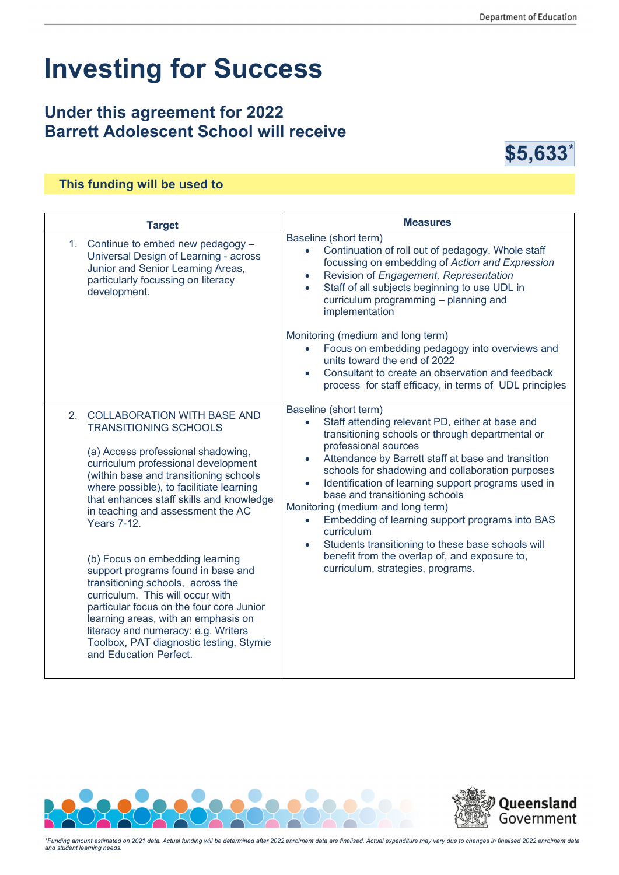# **Investing for Success**

## **Under this agreement for 2022 Barrett Adolescent School will receive**



#### **This funding will be used to**

| <b>Target</b>                                                                                                                                                                                                                                                                                                                                 | <b>Measures</b>                                                                                                                                                                                                                                                                                                                                                                                                                                                                                                 |
|-----------------------------------------------------------------------------------------------------------------------------------------------------------------------------------------------------------------------------------------------------------------------------------------------------------------------------------------------|-----------------------------------------------------------------------------------------------------------------------------------------------------------------------------------------------------------------------------------------------------------------------------------------------------------------------------------------------------------------------------------------------------------------------------------------------------------------------------------------------------------------|
| 1. Continue to embed new pedagogy -<br>Universal Design of Learning - across<br>Junior and Senior Learning Areas,<br>particularly focussing on literacy<br>development.                                                                                                                                                                       | Baseline (short term)<br>Continuation of roll out of pedagogy. Whole staff<br>$\bullet$<br>focussing on embedding of Action and Expression<br>Revision of Engagement, Representation<br>$\bullet$<br>Staff of all subjects beginning to use UDL in<br>$\bullet$<br>curriculum programming - planning and<br>implementation                                                                                                                                                                                      |
|                                                                                                                                                                                                                                                                                                                                               | Monitoring (medium and long term)                                                                                                                                                                                                                                                                                                                                                                                                                                                                               |
|                                                                                                                                                                                                                                                                                                                                               | Focus on embedding pedagogy into overviews and<br>$\bullet$<br>units toward the end of 2022                                                                                                                                                                                                                                                                                                                                                                                                                     |
|                                                                                                                                                                                                                                                                                                                                               | Consultant to create an observation and feedback<br>process for staff efficacy, in terms of UDL principles                                                                                                                                                                                                                                                                                                                                                                                                      |
| 2. COLLABORATION WITH BASE AND<br><b>TRANSITIONING SCHOOLS</b>                                                                                                                                                                                                                                                                                | Baseline (short term)<br>Staff attending relevant PD, either at base and<br>$\bullet$<br>transitioning schools or through departmental or                                                                                                                                                                                                                                                                                                                                                                       |
| (a) Access professional shadowing,<br>curriculum professional development<br>(within base and transitioning schools<br>where possible), to facilitiate learning<br>that enhances staff skills and knowledge<br>in teaching and assessment the AC<br><b>Years 7-12.</b>                                                                        | professional sources<br>Attendance by Barrett staff at base and transition<br>$\bullet$<br>schools for shadowing and collaboration purposes<br>Identification of learning support programs used in<br>$\bullet$<br>base and transitioning schools<br>Monitoring (medium and long term)<br>Embedding of learning support programs into BAS<br>$\bullet$<br>curriculum<br>Students transitioning to these base schools will<br>benefit from the overlap of, and exposure to,<br>curriculum, strategies, programs. |
| (b) Focus on embedding learning<br>support programs found in base and<br>transitioning schools, across the<br>curriculum. This will occur with<br>particular focus on the four core Junior<br>learning areas, with an emphasis on<br>literacy and numeracy: e.g. Writers<br>Toolbox, PAT diagnostic testing, Stymie<br>and Education Perfect. |                                                                                                                                                                                                                                                                                                                                                                                                                                                                                                                 |





*\*Funding amount estimated on 2021 data. Actual funding will be determined after 2022 enrolment data are finalised. Actual expenditure may vary due to changes in finalised 2022 enrolment data and student learning needs.*